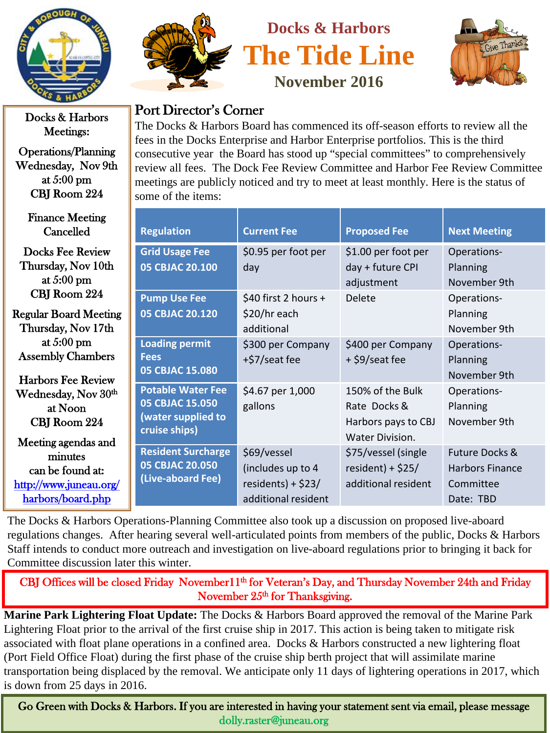

Docks & Harbors Meetings:

Operations/Planning Wednesday, Nov 9th at 5:00 pm CBJ Room 224

[http://www.juneau.org/](http://www.juneau.org/harbors/board.php)  [harbors/board.php](http://www.juneau.org/harbors/board.php) 

Finance Meeting Cancelled Docks Fee Review Thursday, Nov 10th at 5:00 pm CBJ Room 224 Regular Board Meeting Thursday, Nov 17th at 5:00 pm Assembly Chambers Harbors Fee Review Wednesday, Nov  $30<sup>th</sup>$ at Noon CBJ Room 224 Meeting agendas and minutes can be found at: **Regulation Current Fee Proposed Fee Next Meeting Grid Usage Fee 05 CBJAC 20.100** \$0.95 per foot per day \$1.00 per foot per day + future CPI adjustment Operations-Planning November 9th **Pump Use Fee 05 CBJAC 20.120** \$40 first 2 hours + \$20/hr each additional Delete Operations-Planning November 9th **Loading permit Fees 05 CBJAC 15.080** \$300 per Company +\$7/seat fee \$400 per Company + \$9/seat fee Operations-Planning November 9th **Potable Water Fee 05 CBJAC 15.050 (water supplied to cruise ships)** \$4.67 per 1,000 gallons 150% of the Bulk Rate Docks & Harbors pays to CBJ Water Division. Operations-Planning November 9th **Resident Surcharge 05 CBJAC 20.050 (Live-aboard Fee)** \$69/vessel (includes up to 4 \$75/vessel (single  $resident$ ) + \$25/ Future Docks & Harbors Finance

The Docks & Harbors Operations-Planning Committee also took up a discussion on proposed live-aboard regulations changes. After hearing several well-articulated points from members of the public, Docks & Harbors Staff intends to conduct more outreach and investigation on live-aboard regulations prior to bringing it back for Committee discussion later this winter.

residents) + \$23/ additional resident additional resident

Committee Date: TBD

CBJ Offices will be closed Friday November11<sup>th</sup> for Veteran's Day, and Thursday November 24th and Friday November 25<sup>th</sup> for Thanksgiving.

transportation being displaced by the removal. We anticipate only 11 days of lightering operations in 2017, which **Marine Park Lightering Float Update:** The Docks & Harbors Board approved the removal of the Marine Park Lightering Float prior to the arrival of the first cruise ship in 2017. This action is being taken to mitigate risk associated with float plane operations in a confined area. Docks & Harbors constructed a new lightering float (Port Field Office Float) during the first phase of the cruise ship berth project that will assimilate marine is down from 25 days in 2016.

Go Green with Docks & Harbors. If you are interested in having your statement sent via email, please message dolly.raster@juneau.org



Port Director's Corner

some of the items:

**Docks & Harbors The Tide Line November 2016**

The Docks & Harbors Board has commenced its off-season efforts to review all the fees in the Docks Enterprise and Harbor Enterprise portfolios. This is the third consecutive year the Board has stood up "special committees" to comprehensively review all fees. The Dock Fee Review Committee and Harbor Fee Review Committee meetings are publicly noticed and try to meet at least monthly. Here is the status of